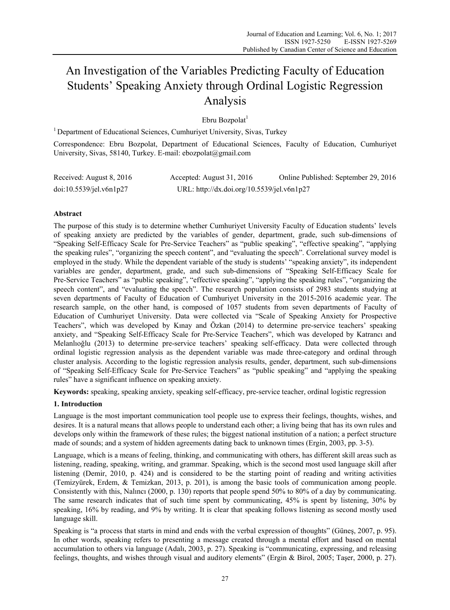# An Investigation of the Variables Predicting Faculty of Education Students' Speaking Anxiety through Ordinal Logistic Regression Analysis

Ebru Bozpolat $^1$ 

<sup>1</sup> Department of Educational Sciences, Cumhuriyet University, Sivas, Turkey

Correspondence: Ebru Bozpolat, Department of Educational Sciences, Faculty of Education, Cumhuriyet University, Sivas, 58140, Turkey. E-mail: ebozpolat@gmail.com

| Received: August 8, 2016 | Accepted: August 31, 2016                  | Online Published: September 29, 2016 |
|--------------------------|--------------------------------------------|--------------------------------------|
| doi:10.5539/jel.v6n1p27  | URL: http://dx.doi.org/10.5539/jel.v6n1p27 |                                      |

# **Abstract**

The purpose of this study is to determine whether Cumhuriyet University Faculty of Education students' levels of speaking anxiety are predicted by the variables of gender, department, grade, such sub-dimensions of "Speaking Self-Efficacy Scale for Pre-Service Teachers" as "public speaking", "effective speaking", "applying the speaking rules", "organizing the speech content", and "evaluating the speech". Correlational survey model is employed in the study. While the dependent variable of the study is students' "speaking anxiety", its independent variables are gender, department, grade, and such sub-dimensions of "Speaking Self-Efficacy Scale for Pre-Service Teachers" as "public speaking", "effective speaking", "applying the speaking rules", "organizing the speech content", and "evaluating the speech". The research population consists of 2983 students studying at seven departments of Faculty of Education of Cumhuriyet University in the 2015-2016 academic year. The research sample, on the other hand, is composed of 1057 students from seven departments of Faculty of Education of Cumhuriyet University. Data were collected via "Scale of Speaking Anxiety for Prospective Teachers", which was developed by Kınay and Özkan (2014) to determine pre-service teachers' speaking anxiety, and "Speaking Self-Efficacy Scale for Pre-Service Teachers", which was developed by Katrancı and Melanlıoğlu (2013) to determine pre-service teachers' speaking self-efficacy. Data were collected through ordinal logistic regression analysis as the dependent variable was made three-category and ordinal through cluster analysis. According to the logistic regression analysis results, gender, department, such sub-dimensions of "Speaking Self-Efficacy Scale for Pre-Service Teachers" as "public speaking" and "applying the speaking rules" have a significant influence on speaking anxiety.

**Keywords:** speaking, speaking anxiety, speaking self-efficacy, pre-service teacher, ordinal logistic regression

# **1. Introduction**

Language is the most important communication tool people use to express their feelings, thoughts, wishes, and desires. It is a natural means that allows people to understand each other; a living being that has its own rules and develops only within the framework of these rules; the biggest national institution of a nation; a perfect structure made of sounds; and a system of hidden agreements dating back to unknown times (Ergin, 2003, pp. 3-5).

Language, which is a means of feeling, thinking, and communicating with others, has different skill areas such as listening, reading, speaking, writing, and grammar. Speaking, which is the second most used language skill after listening (Demir, 2010, p. 424) and is considered to be the starting point of reading and writing activities (Temizyürek, Erdem, & Temizkan, 2013, p. 201), is among the basic tools of communication among people. Consistently with this, Nalıncı (2000, p. 130) reports that people spend 50% to 80% of a day by communicating. The same research indicates that of such time spent by communicating, 45% is spent by listening, 30% by speaking, 16% by reading, and 9% by writing. It is clear that speaking follows listening as second mostly used language skill.

Speaking is "a process that starts in mind and ends with the verbal expression of thoughts" (Güneş, 2007, p. 95). In other words, speaking refers to presenting a message created through a mental effort and based on mental accumulation to others via language (Adalı, 2003, p. 27). Speaking is "communicating, expressing, and releasing feelings, thoughts, and wishes through visual and auditory elements" (Ergin & Birol, 2005; Taşer, 2000, p. 27).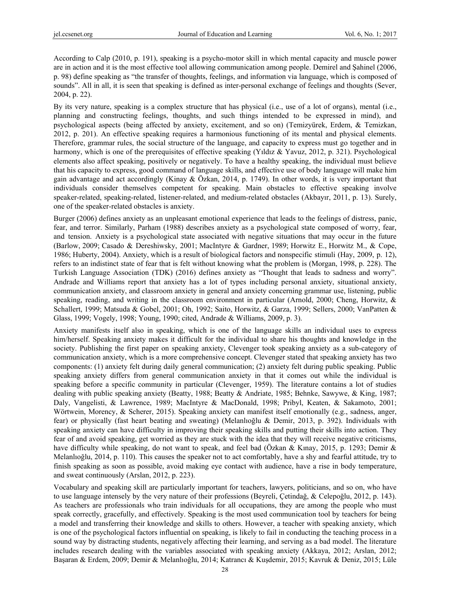According to Calp (2010, p. 191), speaking is a psycho-motor skill in which mental capacity and muscle power are in action and it is the most effective tool allowing communication among people. Demirel and Şahinel (2006, p. 98) define speaking as "the transfer of thoughts, feelings, and information via language, which is composed of sounds". All in all, it is seen that speaking is defined as inter-personal exchange of feelings and thoughts (Sever, 2004, p. 22).

By its very nature, speaking is a complex structure that has physical (i.e., use of a lot of organs), mental (i.e., planning and constructing feelings, thoughts, and such things intended to be expressed in mind), and psychological aspects (being affected by anxiety, excitement, and so on) (Temizyürek, Erdem, & Temizkan, 2012, p. 201). An effective speaking requires a harmonious functioning of its mental and physical elements. Therefore, grammar rules, the social structure of the language, and capacity to express must go together and in harmony, which is one of the prerequisites of effective speaking (Yıldız & Yavuz, 2012, p. 321). Psychological elements also affect speaking, positively or negatively. To have a healthy speaking, the individual must believe that his capacity to express, good command of language skills, and effective use of body language will make him gain advantage and act accordingly (Kinay & Özkan, 2014, p. 1749). In other words, it is very important that individuals consider themselves competent for speaking. Main obstacles to effective speaking involve speaker-related, speaking-related, listener-related, and medium-related obstacles (Akbayır, 2011, p. 13). Surely, one of the speaker-related obstacles is anxiety.

Burger (2006) defines anxiety as an unpleasant emotional experience that leads to the feelings of distress, panic, fear, and terror. Similarly, Parham (1988) describes anxiety as a psychological state composed of worry, fear, and tension. Anxiety is a psychological state associated with negative situations that may occur in the future (Barlow, 2009; Casado & Dereshiwsky, 2001; MacIntyre & Gardner, 1989; Horwitz E., Horwitz M., & Cope, 1986; Huberty, 2004). Anxiety, which is a result of biological factors and nonspecific stimuli (Hay, 2009, p. 12), refers to an indistinct state of fear that is felt without knowing what the problem is (Morgan, 1998, p. 228). The Turkish Language Association (TDK) (2016) defines anxiety as "Thought that leads to sadness and worry". Andrade and Williams report that anxiety has a lot of types including personal anxiety, situational anxiety, communication anxiety, and classroom anxiety in general and anxiety concerning grammar use, listening, public speaking, reading, and writing in the classroom environment in particular (Arnold, 2000; Cheng, Horwitz, & Schallert, 1999; Matsuda & Gobel, 2001; Oh, 1992; Saito, Horwitz, & Garza, 1999; Sellers, 2000; VanPatten & Glass, 1999; Vogely, 1998; Young, 1990; cited, Andrade & Williams, 2009, p. 3).

Anxiety manifests itself also in speaking, which is one of the language skills an individual uses to express him/herself. Speaking anxiety makes it difficult for the individual to share his thoughts and knowledge in the society. Publishing the first paper on speaking anxiety, Clevenger took speaking anxiety as a sub-category of communication anxiety, which is a more comprehensive concept. Clevenger stated that speaking anxiety has two components: (1) anxiety felt during daily general communication; (2) anxiety felt during public speaking. Public speaking anxiety differs from general communication anxiety in that it comes out while the individual is speaking before a specific community in particular (Clevenger, 1959). The literature contains a lot of studies dealing with public speaking anxiety (Beatty, 1988; Beatty & Andriate, 1985; Behnke, Sawywe, & King, 1987; Daly, Vangelisti, & Lawrence, 1989; MacIntyre & MacDonald, 1998; Pribyl, Keaten, & Sakamoto, 2001; Wörtwein, Morency, & Scherer, 2015). Speaking anxiety can manifest itself emotionally (e.g., sadness, anger, fear) or physically (fast heart beating and sweating) (Melanlıoğlu & Demir, 2013, p. 392). Individuals with speaking anxiety can have difficulty in improving their speaking skills and putting their skills into action. They fear of and avoid speaking, get worried as they are stuck with the idea that they will receive negative criticisms, have difficulty while speaking, do not want to speak, and feel bad (Özkan & Kınay, 2015, p. 1293; Demir & Melanlıoğlu, 2014, p. 110). This causes the speaker not to act comfortably, have a shy and fearful attitude, try to finish speaking as soon as possible, avoid making eye contact with audience, have a rise in body temperature, and sweat continuously (Arslan, 2012, p. 223).

Vocabulary and speaking skill are particularly important for teachers, lawyers, politicians, and so on, who have to use language intensely by the very nature of their professions (Beyreli, Çetindağ, & Celepoğlu, 2012, p. 143). As teachers are professionals who train individuals for all occupations, they are among the people who must speak correctly, gracefully, and effectively. Speaking is the most used communication tool by teachers for being a model and transferring their knowledge and skills to others. However, a teacher with speaking anxiety, which is one of the psychological factors influential on speaking, is likely to fail in conducting the teaching process in a sound way by distracting students, negatively affecting their learning, and serving as a bad model. The literature includes research dealing with the variables associated with speaking anxiety (Akkaya, 2012; Arslan, 2012; Başaran & Erdem, 2009; Demir & Melanlıoğlu, 2014; Katrancı & Kuşdemir, 2015; Kavruk & Deniz, 2015; Lüle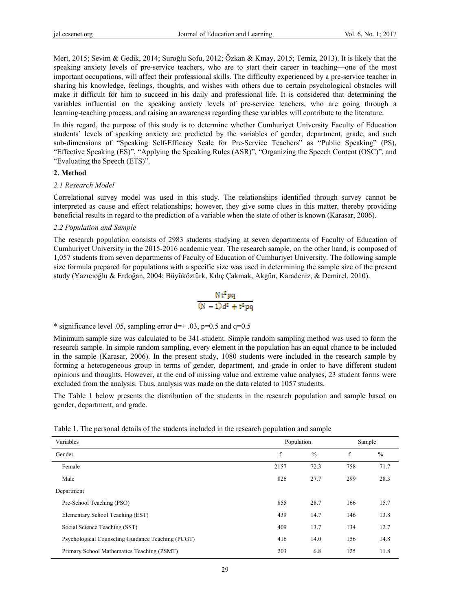Mert, 2015; Sevim & Gedik, 2014; Suroğlu Sofu, 2012; Özkan & Kınay, 2015; Temiz, 2013). It is likely that the speaking anxiety levels of pre-service teachers, who are to start their career in teaching—one of the most important occupations, will affect their professional skills. The difficulty experienced by a pre-service teacher in sharing his knowledge, feelings, thoughts, and wishes with others due to certain psychological obstacles will make it difficult for him to succeed in his daily and professional life. It is considered that determining the variables influential on the speaking anxiety levels of pre-service teachers, who are going through a learning-teaching process, and raising an awareness regarding these variables will contribute to the literature.

In this regard, the purpose of this study is to determine whether Cumhuriyet University Faculty of Education students' levels of speaking anxiety are predicted by the variables of gender, department, grade, and such sub-dimensions of "Speaking Self-Efficacy Scale for Pre-Service Teachers" as "Public Speaking" (PS), "Effective Speaking (ES)", "Applying the Speaking Rules (ASR)", "Organizing the Speech Content (OSC)", and "Evaluating the Speech (ETS)".

# **2. Method**

# *2.1 Research Model*

Correlational survey model was used in this study. The relationships identified through survey cannot be interpreted as cause and effect relationships; however, they give some clues in this matter, thereby providing beneficial results in regard to the prediction of a variable when the state of other is known (Karasar, 2006).

# *2.2 Population and Sample*

The research population consists of 2983 students studying at seven departments of Faculty of Education of Cumhuriyet University in the 2015-2016 academic year. The research sample, on the other hand, is composed of 1,057 students from seven departments of Faculty of Education of Cumhuriyet University. The following sample size formula prepared for populations with a specific size was used in determining the sample size of the present study (Yazıcıoğlu & Erdoğan, 2004; Büyüköztürk, Kılıç Çakmak, Akgün, Karadeniz, & Demirel, 2010).

$$
\frac{Nt^2pq}{(N-1)d^2+t^2pq}
$$

\* significance level .05, sampling error  $d=±$  .03, p=0.5 and q=0.5

Minimum sample size was calculated to be 341-student. Simple random sampling method was used to form the research sample. In simple random sampling, every element in the population has an equal chance to be included in the sample (Karasar, 2006). In the present study, 1080 students were included in the research sample by forming a heterogeneous group in terms of gender, department, and grade in order to have different student opinions and thoughts. However, at the end of missing value and extreme value analyses, 23 student forms were excluded from the analysis. Thus, analysis was made on the data related to 1057 students.

The Table 1 below presents the distribution of the students in the research population and sample based on gender, department, and grade.

|  |  | Table 1. The personal details of the students included in the research population and sample |
|--|--|----------------------------------------------------------------------------------------------|
|  |  |                                                                                              |

| Variables                                         | Population |               | Sample |               |
|---------------------------------------------------|------------|---------------|--------|---------------|
| Gender                                            | f          | $\frac{0}{0}$ | f      | $\frac{0}{0}$ |
| Female                                            | 2157       | 72.3          | 758    | 71.7          |
| Male                                              | 826        | 27.7          | 299    | 28.3          |
| Department                                        |            |               |        |               |
| Pre-School Teaching (PSO)                         | 855        | 28.7          | 166    | 15.7          |
| Elementary School Teaching (EST)                  | 439        | 14.7          | 146    | 13.8          |
| Social Science Teaching (SST)                     | 409        | 13.7          | 134    | 12.7          |
| Psychological Counseling Guidance Teaching (PCGT) | 416        | 14.0          | 156    | 14.8          |
| Primary School Mathematics Teaching (PSMT)        | 203        | 6.8           | 125    | 11.8          |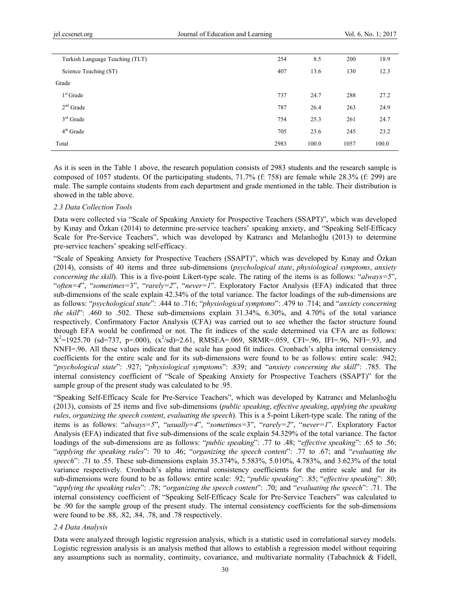| Turkish Language Teaching (TLT) | 254  | 8.5   | 200  | 18.9  |
|---------------------------------|------|-------|------|-------|
| Science Teaching (ST)           | 407  | 13.6  | 130  | 12.3  |
| Grade                           |      |       |      |       |
| $1st$ Grade                     | 737  | 24.7  | 288  | 27.2  |
| $2nd$ Grade                     | 787  | 26.4  | 263  | 24.9  |
| $3rd$ Grade                     | 754  | 25.3  | 261  | 24.7  |
| $4th$ Grade                     | 705  | 23.6  | 245  | 23.2  |
| Total                           | 2983 | 100.0 | 1057 | 100.0 |
|                                 |      |       |      |       |

As it is seen in the Table 1 above, the research population consists of 2983 students and the research sample is composed of 1057 students. Of the participating students, 71.7% (f: 758) are female while 28.3% (f: 299) are male. The sample contains students from each department and grade mentioned in the table. Their distribution is showed in the table above.

#### *2.3 Data Collection Tools*

Data were collected via "Scale of Speaking Anxiety for Prospective Teachers (SSAPT)", which was developed by Kınay and Özkan (2014) to determine pre-service teachers' speaking anxiety, and "Speaking Self-Efficacy Scale for Pre-Service Teachers", which was developed by Katrancı and Melanlıoğlu (2013) to determine pre-service teachers' speaking self-efficacy.

"Scale of Speaking Anxiety for Prospective Teachers (SSAPT)", which was developed by Kınay and Özkan (2014), consists of 40 items and three sub-dimensions (*psychological state*, *physiological symptoms*, *anxiety concerning the skill*). This is a five-point Likert-type scale. The rating of the items is as follows: "*always=5*", "*often=4*", "*sometimes=*3", "*rarely=2*", "*never=1*". Exploratory Factor Analysis (EFA) indicated that three sub-dimensions of the scale explain 42.34% of the total variance. The factor loadings of the sub-dimensions are as follows: "*psychological state*": .444 to .716; "*physiological symptoms*": .479 to .714; and "*anxiety concerning the skill*": .460 to .502. These sub-dimensions explain 31.34%, 6.30%, and 4.70% of the total variance respectively. Confirmatory Factor Analysis (CFA) was carried out to see whether the factor structure found through EFA would be confirmed or not. The fit indices of the scale determined via CFA are as follows:  $X^2=1925.70$  (sd=737, p=.000),  $(x^2$ /sd)=2.61, RMSEA=.069, SRMR=.059, CFI=.96, IFI=.96, NFI=.93, and NNFI=.96. All these values indicate that the scale has good fit indices. Cronbach's alpha internal consistency coefficients for the entire scale and for its sub-dimensions were found to be as follows: entire scale: .942; "*psychological state*": .927; "*physiological symptoms*": .839; and "*anxiety concerning the skill*": .785. The internal consistency coefficient of "Scale of Speaking Anxiety for Prospective Teachers (SSAPT)" for the sample group of the present study was calculated to be .95.

"Speaking Self-Efficacy Scale for Pre-Service Teachers", which was developed by Katrancı and Melanlıoğlu (2013), consists of 25 items and five sub-dimensions (*public speaking*, *effective speaking*, *applying the speaking rules*, *organizing the speech content*, *evaluating the speech*). This is a 5-point Likert-type scale. The rating of the items is as follows: "*always=5*", "*usually=4*", "*sometimes=*3", "*rarely=2*", "*never=1*". Exploratory Factor Analysis (EFA) indicated that five sub-dimensions of the scale explain 54.329% of the total variance. The factor loadings of the sub-dimensions are as follows: "*public speaking*": .77 to .48; "*effective speaking*": .65 to .56; "*applying the speaking rules*": 70 to .46; "*organizing the speech content*": .77 to .67; and "*evaluating the speech*": .71 to .55. These sub-dimensions explain 35.374%, 5.583%, 5.010%, 4.783%, and 3.623% of the total variance respectively. Cronbach's alpha internal consistency coefficients for the entire scale and for its sub-dimensions were found to be as follows: entire scale: .92; "*public speaking*": .85; "*effective speaking*": .80; "*applying the speaking rules*": .78; "*organizing the speech content*": .70; and "*evaluating the speech*": .71. The internal consistency coefficient of "Speaking Self-Efficacy Scale for Pre-Service Teachers" was calculated to be .90 for the sample group of the present study. The internal consistency coefficients for the sub-dimensions were found to be .88, .82, .84, .78, and .78 respectively.

#### *2.4 Data Analysis*

Data were analyzed through logistic regression analysis, which is a statistic used in correlational survey models. Logistic regression analysis is an analysis method that allows to establish a regression model without requiring any assumptions such as normality, continuity, covariance, and multivariate normality (Tabachnick & Fidell,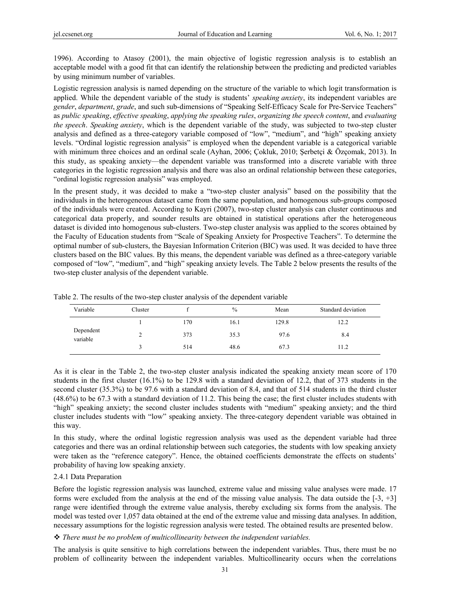1996). According to Atasoy (2001), the main objective of logistic regression analysis is to establish an acceptable model with a good fit that can identify the relationship between the predicting and predicted variables by using minimum number of variables.

Logistic regression analysis is named depending on the structure of the variable to which logit transformation is applied. While the dependent variable of the study is students' *speaking anxiety*, its independent variables are *gender*, *department*, *grade*, and such sub-dimensions of "Speaking Self-Efficacy Scale for Pre-Service Teachers" as *public speaking*, *effective speaking*, *applying the speaking rules*, *organizing the speech content*, and *evaluating the speech*. *Speaking anxiety*, which is the dependent variable of the study, was subjected to two-step cluster analysis and defined as a three-category variable composed of "low", "medium", and "high" speaking anxiety levels. "Ordinal logistic regression analysis" is employed when the dependent variable is a categorical variable with minimum three choices and an ordinal scale (Ayhan, 2006; Cokluk, 2010; Serbetci & Özcomak, 2013). In this study, as speaking anxiety—the dependent variable was transformed into a discrete variable with three categories in the logistic regression analysis and there was also an ordinal relationship between these categories, "ordinal logistic regression analysis" was employed.

In the present study, it was decided to make a "two-step cluster analysis" based on the possibility that the individuals in the heterogeneous dataset came from the same population, and homogenous sub-groups composed of the individuals were created. According to Kayri (2007), two-step cluster analysis can cluster continuous and categorical data properly, and sounder results are obtained in statistical operations after the heterogeneous dataset is divided into homogenous sub-clusters. Two-step cluster analysis was applied to the scores obtained by the Faculty of Education students from "Scale of Speaking Anxiety for Prospective Teachers". To determine the optimal number of sub-clusters, the Bayesian Information Criterion (BIC) was used. It was decided to have three clusters based on the BIC values. By this means, the dependent variable was defined as a three-category variable composed of "low", "medium", and "high" speaking anxiety levels. The Table 2 below presents the results of the two-step cluster analysis of the dependent variable.

| Variable              | Cluster |     | $\frac{0}{0}$ | Mean  | Standard deviation |
|-----------------------|---------|-----|---------------|-------|--------------------|
|                       |         | 170 | 16.1          | 129.8 | 12.2               |
| Dependent<br>variable |         | 373 | 35.3          | 97.6  | 8.4                |
|                       |         | 514 | 48.6          | 67.3  | 11.2               |

Table 2. The results of the two-step cluster analysis of the dependent variable

As it is clear in the Table 2, the two-step cluster analysis indicated the speaking anxiety mean score of 170 students in the first cluster (16.1%) to be 129.8 with a standard deviation of 12.2, that of 373 students in the second cluster (35.3%) to be 97.6 with a standard deviation of 8.4, and that of 514 students in the third cluster (48.6%) to be 67.3 with a standard deviation of 11.2. This being the case; the first cluster includes students with "high" speaking anxiety; the second cluster includes students with "medium" speaking anxiety; and the third cluster includes students with "low" speaking anxiety. The three-category dependent variable was obtained in this way.

In this study, where the ordinal logistic regression analysis was used as the dependent variable had three categories and there was an ordinal relationship between such categories, the students with low speaking anxiety were taken as the "reference category". Hence, the obtained coefficients demonstrate the effects on students' probability of having low speaking anxiety.

#### 2.4.1 Data Preparation

Before the logistic regression analysis was launched, extreme value and missing value analyses were made. 17 forms were excluded from the analysis at the end of the missing value analysis. The data outside the [-3, +3] range were identified through the extreme value analysis, thereby excluding six forms from the analysis. The model was tested over 1,057 data obtained at the end of the extreme value and missing data analyses. In addition, necessary assumptions for the logistic regression analysis were tested. The obtained results are presented below.

## *There must be no problem of multicollinearity between the independent variables.*

The analysis is quite sensitive to high correlations between the independent variables. Thus, there must be no problem of collinearity between the independent variables. Multicollinearity occurs when the correlations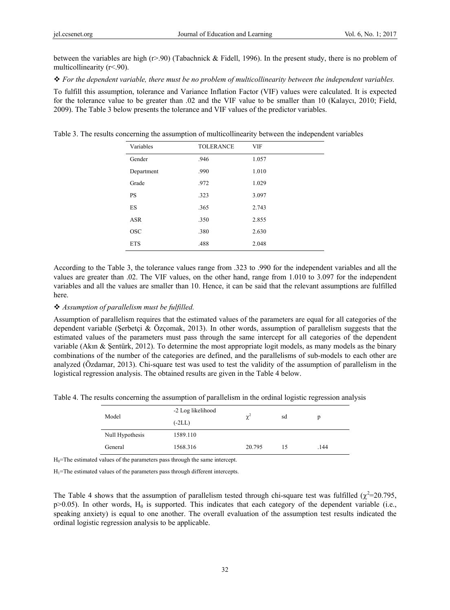between the variables are high (r>.90) (Tabachnick & Fidell, 1996). In the present study, there is no problem of multicollinearity (r<.90).

*For the dependent variable, there must be no problem of multicollinearity between the independent variables.* 

To fulfill this assumption, tolerance and Variance Inflation Factor (VIF) values were calculated. It is expected for the tolerance value to be greater than .02 and the VIF value to be smaller than 10 (Kalaycı, 2010; Field, 2009). The Table 3 below presents the tolerance and VIF values of the predictor variables.

Table 3. The results concerning the assumption of multicollinearity between the independent variables

| Variables  | <b>TOLERANCE</b> | <b>VIF</b> |
|------------|------------------|------------|
| Gender     | .946             | 1.057      |
| Department | .990             | 1.010      |
| Grade      | .972             | 1.029      |
| <b>PS</b>  | .323             | 3.097      |
| ES         | .365             | 2.743      |
| <b>ASR</b> | .350             | 2.855      |
| <b>OSC</b> | .380             | 2.630      |
| <b>ETS</b> | .488             | 2.048      |

According to the Table 3, the tolerance values range from .323 to .990 for the independent variables and all the values are greater than .02. The VIF values, on the other hand, range from 1.010 to 3.097 for the independent variables and all the values are smaller than 10. Hence, it can be said that the relevant assumptions are fulfilled here.

## *Assumption of parallelism must be fulfilled.*

Assumption of parallelism requires that the estimated values of the parameters are equal for all categories of the dependent variable (Şerbetçi & Özçomak, 2013). In other words, assumption of parallelism suggests that the estimated values of the parameters must pass through the same intercept for all categories of the dependent variable (Akın & Şentürk, 2012). To determine the most appropriate logit models, as many models as the binary combinations of the number of the categories are defined, and the parallelisms of sub-models to each other are analyzed (Özdamar, 2013). Chi-square test was used to test the validity of the assumption of parallelism in the logistical regression analysis. The obtained results are given in the Table 4 below.

Table 4. The results concerning the assumption of parallelism in the ordinal logistic regression analysis

| Model           | -2 Log likelihood<br>$(-2LL)$ | $\chi^2$ | sd | p    |
|-----------------|-------------------------------|----------|----|------|
| Null Hypothesis | 1589.110                      |          |    |      |
| General         | 1568.316                      | 20.795   | 15 | .144 |

 $H<sub>0</sub>=$ The estimated values of the parameters pass through the same intercept.

 $H_1$ =The estimated values of the parameters pass through different intercepts.

The Table 4 shows that the assumption of parallelism tested through chi-square test was fulfilled ( $\chi^2$ =20.795,  $p>0.05$ ). In other words,  $H_0$  is supported. This indicates that each category of the dependent variable (i.e., speaking anxiety) is equal to one another. The overall evaluation of the assumption test results indicated the ordinal logistic regression analysis to be applicable.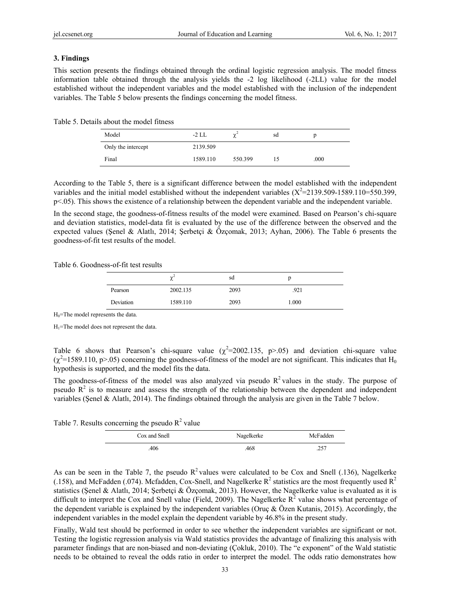# **3. Findings**

This section presents the findings obtained through the ordinal logistic regression analysis. The model fitness information table obtained through the analysis yields the -2 log likelihood (-2LL) value for the model established without the independent variables and the model established with the inclusion of the independent variables. The Table 5 below presents the findings concerning the model fitness.

| Model              | -2 LL    | $\sim$  | sd |      |
|--------------------|----------|---------|----|------|
| Only the intercept | 2139.509 |         |    |      |
| Final              | 1589.110 | 550.399 | L۵ | .000 |

Table 5. Details about the model fitness

According to the Table 5, there is a significant difference between the model established with the independent variables and the initial model established without the independent variables  $(X^2=2139.509-1589.110=550.399)$ , p<.05). This shows the existence of a relationship between the dependent variable and the independent variable.

In the second stage, the goodness-of-fitness results of the model were examined. Based on Pearson's chi-square and deviation statistics, model-data fit is evaluated by the use of the difference between the observed and the expected values (Şenel & Alatlı, 2014; Şerbetçi & Özçomak, 2013; Ayhan, 2006). The Table 6 presents the goodness-of-fit test results of the model.

Table 6. Goodness-of-fit test results

|           | $\sim$<br>$\sim$ | sd   | L.    |  |
|-----------|------------------|------|-------|--|
| Pearson   | 2002.135         | 2093 | .921  |  |
| Deviation | 1589.110         | 2093 | 1.000 |  |

 $H_0$ =The model represents the data.

H1=The model does not represent the data.

Table 6 shows that Pearson's chi-square value  $(\chi^2=2002.135, p>0.05)$  and deviation chi-square value  $(\chi^2=1589.110, p>0.05)$  concerning the goodness-of-fitness of the model are not significant. This indicates that H<sub>0</sub> hypothesis is supported, and the model fits the data.

The goodness-of-fitness of the model was also analyzed via pseudo  $R<sup>2</sup>$  values in the study. The purpose of pseudo  $R<sup>2</sup>$  is to measure and assess the strength of the relationship between the dependent and independent variables (Şenel & Alatlı, 2014). The findings obtained through the analysis are given in the Table 7 below.

Table 7. Results concerning the pseudo  $R^2$  value

| Cox and Snell | Nagelkerke | McFadden |
|---------------|------------|----------|
| .406          | .468       | .257     |

As can be seen in the Table 7, the pseudo  $R^2$  values were calculated to be Cox and Snell (.136), Nagelkerke (.158), and McFadden (.074). Mcfadden, Cox-Snell, and Nagelkerke  $R^2$  statistics are the most frequently used  $R^2$ statistics (Şenel & Alatlı, 2014; Şerbetçi & Özçomak, 2013). However, the Nagelkerke value is evaluated as it is difficult to interpret the Cox and Snell value (Field, 2009). The Nagelkerke  $R^2$  value shows what percentage of the dependent variable is explained by the independent variables (Oruç & Özen Kutanis, 2015). Accordingly, the independent variables in the model explain the dependent variable by 46.8% in the present study.

Finally, Wald test should be performed in order to see whether the independent variables are significant or not. Testing the logistic regression analysis via Wald statistics provides the advantage of finalizing this analysis with parameter findings that are non-biased and non-deviating (Çokluk, 2010). The "e exponent" of the Wald statistic needs to be obtained to reveal the odds ratio in order to interpret the model. The odds ratio demonstrates how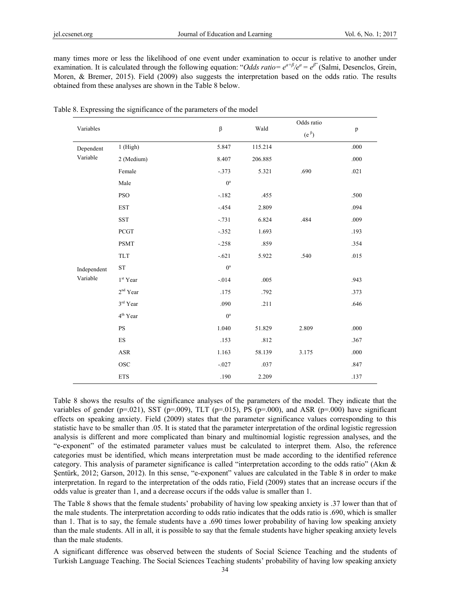many times more or less the likelihood of one event under examination to occur is relative to another under examination. It is calculated through the following equation: "*Odds ratio=*  $e^{a+\beta}/e^a = e^{\beta}$ " (Salmi, Desenclos, Grein, Moren, & Bremer, 2015). Field (2009) also suggests the interpretation based on the odds ratio. The results obtained from these analyses are shown in the Table 8 below.

| Variables   |                                                                         | $\boldsymbol{\beta}$ | Wald    | Odds ratio    | $\, {\bf p}$ |
|-------------|-------------------------------------------------------------------------|----------------------|---------|---------------|--------------|
|             |                                                                         |                      |         | $(e^{\beta})$ |              |
| Dependent   | $1$ (High)                                                              | 5.847                | 115.214 |               | $.000\,$     |
| Variable    | 2 (Medium)                                                              | 8.407                | 206.885 |               | .000         |
|             | Female                                                                  | $-.373$              | 5.321   | .690          | .021         |
|             | Male                                                                    | $0^{\rm a}$          |         |               |              |
|             | <b>PSO</b>                                                              | $-.182$              | .455    |               | .500         |
|             | <b>EST</b>                                                              | $-454$               | 2.809   |               | .094         |
|             | <b>SST</b>                                                              | $-.731$              | 6.824   | .484          | .009         |
|             | PCGT                                                                    | $-.352$              | 1.693   |               | .193         |
|             | <b>PSMT</b>                                                             | $-.258$              | .859    |               | .354         |
|             | $\ensuremath{\mathsf{T}}\ensuremath{\mathsf{L}}\ensuremath{\mathsf{T}}$ | $-.621$              | 5.922   | .540          | .015         |
| Independent | ${\rm ST}$                                                              | $0^a$                |         |               |              |
| Variable    | 1 <sup>st</sup> Year                                                    | $-.014$              | .005    |               | .943         |
|             | $2nd$ Year                                                              | .175                 | .792    |               | .373         |
|             | $3^{\rm rd}$ Year                                                       | .090                 | .211    |               | .646         |
|             | 4 <sup>th</sup> Year                                                    | $0^{\rm a}$          |         |               |              |
|             | $\mathbf{P}\mathbf{S}$                                                  | 1.040                | 51.829  | 2.809         | .000         |
|             | ${\rm ES}$                                                              | .153                 | .812    |               | .367         |
|             | $\operatorname{ASR}$                                                    | 1.163                | 58.139  | 3.175         | $.000\,$     |
|             | <b>OSC</b>                                                              | $-.027$              | .037    |               | .847         |
|             | <b>ETS</b>                                                              | .190                 | 2.209   |               | .137         |

Table 8. Expressing the significance of the parameters of the model

Table 8 shows the results of the significance analyses of the parameters of the model. They indicate that the variables of gender (p=.021), SST (p=.009), TLT (p=.015), PS (p=.000), and ASR (p=.000) have significant effects on speaking anxiety. Field (2009) states that the parameter significance values corresponding to this statistic have to be smaller than .05. It is stated that the parameter interpretation of the ordinal logistic regression analysis is different and more complicated than binary and multinomial logistic regression analyses, and the "e-exponent" of the estimated parameter values must be calculated to interpret them. Also, the reference categories must be identified, which means interpretation must be made according to the identified reference category. This analysis of parameter significance is called "interpretation according to the odds ratio" (Akın & Şentürk, 2012; Garson, 2012). In this sense, "e-exponent" values are calculated in the Table 8 in order to make interpretation. In regard to the interpretation of the odds ratio, Field (2009) states that an increase occurs if the odds value is greater than 1, and a decrease occurs if the odds value is smaller than 1.

The Table 8 shows that the female students' probability of having low speaking anxiety is .37 lower than that of the male students. The interpretation according to odds ratio indicates that the odds ratio is .690, which is smaller than 1. That is to say, the female students have a .690 times lower probability of having low speaking anxiety than the male students. All in all, it is possible to say that the female students have higher speaking anxiety levels than the male students.

A significant difference was observed between the students of Social Science Teaching and the students of Turkish Language Teaching. The Social Sciences Teaching students' probability of having low speaking anxiety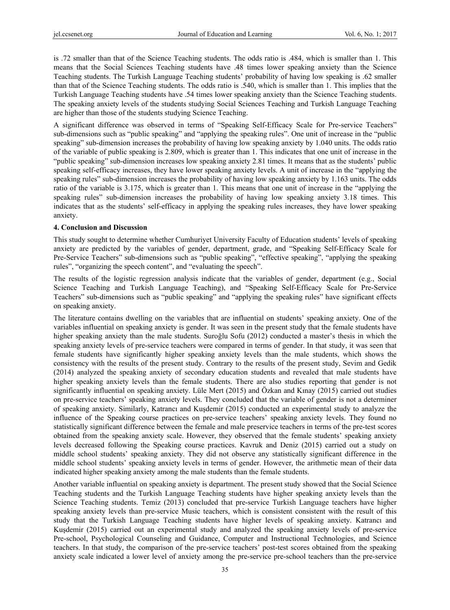is .72 smaller than that of the Science Teaching students. The odds ratio is .484, which is smaller than 1. This means that the Social Sciences Teaching students have .48 times lower speaking anxiety than the Science Teaching students. The Turkish Language Teaching students' probability of having low speaking is .62 smaller than that of the Science Teaching students. The odds ratio is .540, which is smaller than 1. This implies that the Turkish Language Teaching students have .54 times lower speaking anxiety than the Science Teaching students. The speaking anxiety levels of the students studying Social Sciences Teaching and Turkish Language Teaching are higher than those of the students studying Science Teaching.

A significant difference was observed in terms of "Speaking Self-Efficacy Scale for Pre-service Teachers" sub-dimensions such as "public speaking" and "applying the speaking rules". One unit of increase in the "public speaking" sub-dimension increases the probability of having low speaking anxiety by 1.040 units. The odds ratio of the variable of public speaking is 2.809, which is greater than 1. This indicates that one unit of increase in the "public speaking" sub-dimension increases low speaking anxiety 2.81 times. It means that as the students' public speaking self-efficacy increases, they have lower speaking anxiety levels. A unit of increase in the "applying the speaking rules" sub-dimension increases the probability of having low speaking anxiety by 1.163 units. The odds ratio of the variable is 3.175, which is greater than 1. This means that one unit of increase in the "applying the speaking rules" sub-dimension increases the probability of having low speaking anxiety 3.18 times. This indicates that as the students' self-efficacy in applying the speaking rules increases, they have lower speaking anxiety.

#### **4. Conclusion and Discussion**

This study sought to determine whether Cumhuriyet University Faculty of Education students' levels of speaking anxiety are predicted by the variables of gender, department, grade, and "Speaking Self-Efficacy Scale for Pre-Service Teachers" sub-dimensions such as "public speaking", "effective speaking", "applying the speaking rules", "organizing the speech content", and "evaluating the speech".

The results of the logistic regression analysis indicate that the variables of gender, department (e.g., Social Science Teaching and Turkish Language Teaching), and "Speaking Self-Efficacy Scale for Pre-Service Teachers" sub-dimensions such as "public speaking" and "applying the speaking rules" have significant effects on speaking anxiety.

The literature contains dwelling on the variables that are influential on students' speaking anxiety. One of the variables influential on speaking anxiety is gender. It was seen in the present study that the female students have higher speaking anxiety than the male students. Suroğlu Sofu (2012) conducted a master's thesis in which the speaking anxiety levels of pre-service teachers were compared in terms of gender. In that study, it was seen that female students have significantly higher speaking anxiety levels than the male students, which shows the consistency with the results of the present study. Contrary to the results of the present study, Sevim and Gedik (2014) analyzed the speaking anxiety of secondary education students and revealed that male students have higher speaking anxiety levels than the female students. There are also studies reporting that gender is not significantly influential on speaking anxiety. Lüle Mert (2015) and Özkan and Kınay (2015) carried out studies on pre-service teachers' speaking anxiety levels. They concluded that the variable of gender is not a determiner of speaking anxiety. Similarly, Katrancı and Kuşdemir (2015) conducted an experimental study to analyze the influence of the Speaking course practices on pre-service teachers' speaking anxiety levels. They found no statistically significant difference between the female and male preservice teachers in terms of the pre-test scores obtained from the speaking anxiety scale. However, they observed that the female students' speaking anxiety levels decreased following the Speaking course practices. Kavruk and Deniz (2015) carried out a study on middle school students' speaking anxiety. They did not observe any statistically significant difference in the middle school students' speaking anxiety levels in terms of gender. However, the arithmetic mean of their data indicated higher speaking anxiety among the male students than the female students.

Another variable influential on speaking anxiety is department. The present study showed that the Social Science Teaching students and the Turkish Language Teaching students have higher speaking anxiety levels than the Science Teaching students. Temiz (2013) concluded that pre-service Turkish Language teachers have higher speaking anxiety levels than pre-service Music teachers, which is consistent consistent with the result of this study that the Turkish Language Teaching students have higher levels of speaking anxiety. Katrancı and Kuşdemir (2015) carried out an experimental study and analyzed the speaking anxiety levels of pre-service Pre-school, Psychological Counseling and Guidance, Computer and Instructional Technologies, and Science teachers. In that study, the comparison of the pre-service teachers' post-test scores obtained from the speaking anxiety scale indicated a lower level of anxiety among the pre-service pre-school teachers than the pre-service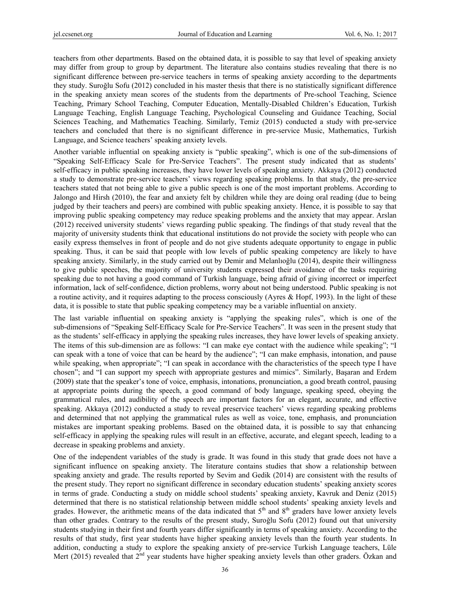teachers from other departments. Based on the obtained data, it is possible to say that level of speaking anxiety may differ from group to group by department. The literature also contains studies revealing that there is no significant difference between pre-service teachers in terms of speaking anxiety according to the departments they study. Suroğlu Sofu (2012) concluded in his master thesis that there is no statistically significant difference in the speaking anxiety mean scores of the students from the departments of Pre-school Teaching, Science Teaching, Primary School Teaching, Computer Education, Mentally-Disabled Children's Education, Turkish Language Teaching, English Language Teaching, Psychological Counseling and Guidance Teaching, Social Sciences Teaching, and Mathematics Teaching. Similarly, Temiz (2015) conducted a study with pre-service teachers and concluded that there is no significant difference in pre-service Music, Mathematics, Turkish Language, and Science teachers' speaking anxiety levels.

Another variable influential on speaking anxiety is "public speaking", which is one of the sub-dimensions of "Speaking Self-Efficacy Scale for Pre-Service Teachers". The present study indicated that as students' self-efficacy in public speaking increases, they have lower levels of speaking anxiety. Akkaya (2012) conducted a study to demonstrate pre-service teachers' views regarding speaking problems. In that study, the pre-service teachers stated that not being able to give a public speech is one of the most important problems. According to Jalongo and Hirsh (2010), the fear and anxiety felt by children while they are doing oral reading (due to being judged by their teachers and peers) are combined with public speaking anxiety. Hence, it is possible to say that improving public speaking competency may reduce speaking problems and the anxiety that may appear. Arslan (2012) received university students' views regarding public speaking. The findings of that study reveal that the majority of university students think that educational institutions do not provide the society with people who can easily express themselves in front of people and do not give students adequate opportunity to engage in public speaking. Thus, it can be said that people with low levels of public speaking competency are likely to have speaking anxiety. Similarly, in the study carried out by Demir and Melanlıoğlu (2014), despite their willingness to give public speeches, the majority of university students expressed their avoidance of the tasks requiring speaking due to not having a good command of Turkish language, being afraid of giving incorrect or imperfect information, lack of self-confidence, diction problems, worry about not being understood. Public speaking is not a routine activity, and it requires adapting to the process consciously (Ayres & Hopf, 1993). In the light of these data, it is possible to state that public speaking competency may be a variable influential on anxiety.

The last variable influential on speaking anxiety is "applying the speaking rules", which is one of the sub-dimensions of "Speaking Self-Efficacy Scale for Pre-Service Teachers". It was seen in the present study that as the students' self-efficacy in applying the speaking rules increases, they have lower levels of speaking anxiety. The items of this sub-dimension are as follows: "I can make eye contact with the audience while speaking"; "I can speak with a tone of voice that can be heard by the audience"; "I can make emphasis, intonation, and pause while speaking, when appropriate"; "I can speak in accordance with the characteristics of the speech type I have chosen"; and "I can support my speech with appropriate gestures and mimics". Similarly, Başaran and Erdem (2009) state that the speaker's tone of voice, emphasis, intonations, pronunciation, a good breath control, pausing at appropriate points during the speech, a good command of body language, speaking speed, obeying the grammatical rules, and audibility of the speech are important factors for an elegant, accurate, and effective speaking. Akkaya (2012) conducted a study to reveal preservice teachers' views regarding speaking problems and determined that not applying the grammatical rules as well as voice, tone, emphasis, and pronunciation mistakes are important speaking problems. Based on the obtained data, it is possible to say that enhancing self-efficacy in applying the speaking rules will result in an effective, accurate, and elegant speech, leading to a decrease in speaking problems and anxiety.

One of the independent variables of the study is grade. It was found in this study that grade does not have a significant influence on speaking anxiety. The literature contains studies that show a relationship between speaking anxiety and grade. The results reported by Sevim and Gedik (2014) are consistent with the results of the present study. They report no significant difference in secondary education students' speaking anxiety scores in terms of grade. Conducting a study on middle school students' speaking anxiety, Kavruk and Deniz (2015) determined that there is no statistical relationship between middle school students' speaking anxiety levels and grades. However, the arithmetic means of the data indicated that  $5<sup>th</sup>$  and  $8<sup>th</sup>$  graders have lower anxiety levels than other grades. Contrary to the results of the present study, Suroğlu Sofu (2012) found out that university students studying in their first and fourth years differ significantly in terms of speaking anxiety. According to the results of that study, first year students have higher speaking anxiety levels than the fourth year students. In addition, conducting a study to explore the speaking anxiety of pre-service Turkish Language teachers, Lüle Mert (2015) revealed that 2<sup>nd</sup> year students have higher speaking anxiety levels than other graders. Özkan and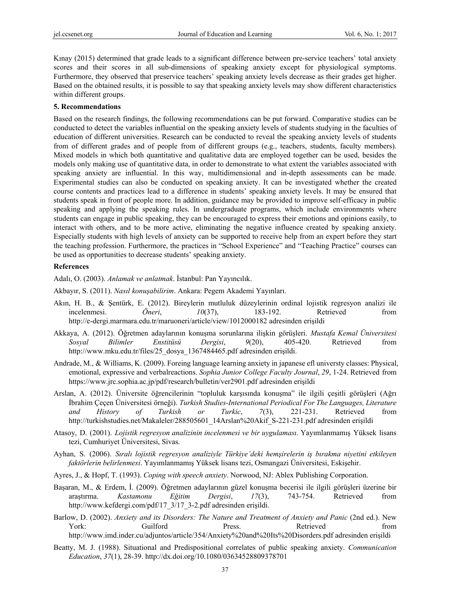Kınay (2015) determined that grade leads to a significant difference between pre-service teachers' total anxiety scores and their scores in all sub-dimensions of speaking anxiety except for physiological symptoms. Furthermore, they observed that preservice teachers' speaking anxiety levels decrease as their grades get higher. Based on the obtained results, it is possible to say that speaking anxiety levels may show different characteristics within different groups.

# **5. Recommendations**

Based on the research findings, the following recommendations can be put forward. Comparative studies can be conducted to detect the variables influential on the speaking anxiety levels of students studying in the faculties of education of different universities. Research can be conducted to reveal the speaking anxiety levels of students from of different grades and of people from of different groups (e.g., teachers, students, faculty members). Mixed models in which both quantitative and qualitative data are employed together can be used, besides the models only making use of quantitative data, in order to demonstrate to what extent the variables associated with speaking anxiety are influential. In this way, multidimensional and in-depth assessments can be made. Experimental studies can also be conducted on speaking anxiety. It can be investigated whether the created course contents and practices lead to a difference in students' speaking anxiety levels. It may be ensured that students speak in front of people more. In addition, guidance may be provided to improve self-efficacy in public speaking and applying the speaking rules. In undergraduate programs, which include environments where students can engage in public speaking, they can be encouraged to express their emotions and opinions easily, to interact with others, and to be more active, eliminating the negative influence created by speaking anxiety. Especially students with high levels of anxiety can be supported to receive help from an expert before they start the teaching profession. Furthermore, the practices in "School Experience" and "Teaching Practice" courses can be used as opportunities to decrease students' speaking anxiety.

# **References**

Adalı, O. (2003). *Anlamak ve anlatmak*. İstanbul: Pan Yayıncılık.

Akbayır, S. (2011). *Nasıl konuşabilirim*. Ankara: Pegem Akademi Yayınları.

- Akın, H. B., & Şentürk, E. (2012). Bireylerin mutluluk düzeylerinin ordinal lojistik regresyon analizi ile incelenmesi. *Öneri*, *10*(37), 183-192. Retrieved from http://e-dergi.marmara.edu.tr/maruoneri/article/view/1012000182 adresinden erişildi
- Akkaya, A. (2012). Öğretmen adaylarının konuşma sorunlarına ilişkin görüşleri. *Mustafa Kemal Üniversitesi Sosyal Bilimler Enstitüsü Dergisi*, *9*(20), 405-420. Retrieved from http://www.mku.edu.tr/files/25\_dosya\_1367484465.pdf adresinden erişildi.
- Andrade, M., & Williams, K. (2009). Foreing language learning anxiety in japanese efl universty classes: Physical, emotional, expressive and verbalreactions. *Sophia Junior College Faculty Journal*, *29*, 1-24. Retrieved from https://www.jrc.sophia.ac.jp/pdf/research/bulletin/ver2901.pdf adresinden erişildi
- Arslan, A. (2012). Üniversite öğrencilerinin "topluluk karşısında konuşma" ile ilgili çeşitli görüşleri (Ağrı İbrahim Çeçen Üniversitesi örneği). *Turkish Studies-International Periodical For The Languages, Literature and History of Turkish or Turkic*, *7*(3), 221-231. Retrieved from http://turkishstudies.net/Makaleler/288505601\_14Arslan%20Akif\_S-221-231.pdf adresinden erişildi
- Atasoy, D. (2001). *Lojistik regresyon analizinin incelenmesi ve bir uygulaması*. Yayımlanmamış Yüksek lisans tezi, Cumhuriyet Üniversitesi, Sivas.
- Ayhan, S. (2006). *Sıralı lojistik regresyon analiziyle Türkiye'deki hemşirelerin iş bırakma niyetini etkileyen faktörlerin belirlenmesi*. Yayımlanmamış Yüksek lisans tezi, Osmangazi Üniversitesi, Eskişehir.
- Ayres, J., & Hopf, T. (1993). *Coping with speech anxiety*. Norwood, NJ: Ablex Publishing Corporation.
- Başaran, M., & Erdem, İ. (2009). Öğretmen adaylarının güzel konuşma becerisi ile ilgili görüşleri üzerine bir araştırma. *Kastamonu Eğitim Dergisi*, *17*(3), 743-754. Retrieved from http://www.kefdergi.com/pdf/17\_3/17\_3-2.pdf adresinden erişildi.
- Barlow, D. (2002). *Anxiety and its Disorders: The Nature and Treatment of Anxiety and Panic* (2nd ed.). New York: Guilford Press. Retrieved from http://www.imd.inder.cu/adjuntos/article/354/Anxiety%20and%20Its%20Disorders.pdf adresinden erişildi
- Beatty, M. J. (1988). Situational and Predispositional correlates of public speaking anxiety. *Communication Education*, *37*(1), 28-39. http://dx.doi.org/10.1080/03634528809378701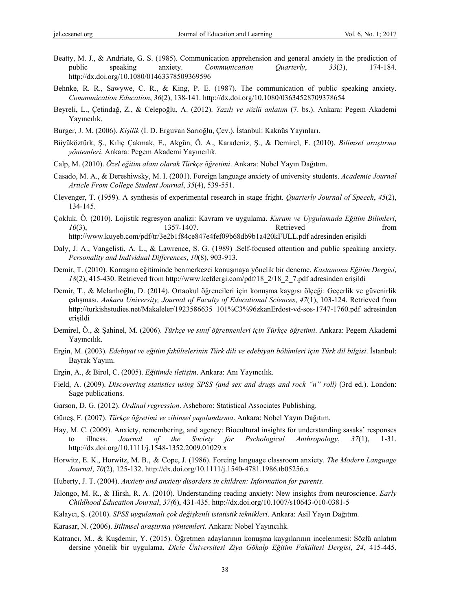- Beatty, M. J., & Andriate, G. S. (1985). Communication apprehension and general anxiety in the prediction of public speaking anxiety. *Communication Quarterly*, *33*(3), 174-184. http://dx.doi.org/10.1080/01463378509369596
- Behnke, R. R., Sawywe, C. R., & King, P. E. (1987). The communication of public speaking anxiety. *Communication Education*, *36*(2), 138-141. http://dx.doi.org/10.1080/03634528709378654
- Beyreli, L., Çetindağ, Z., & Celepoğlu, A. (2012). *Yazılı ve sözlü anlatım* (7. bs.). Ankara: Pegem Akademi Yayıncılık.
- Burger, J. M. (2006). *Kişilik* (İ. D. Erguvan Sarıoğlu, Çev.). İstanbul: Kaknüs Yayınları.
- Büyüköztürk, Ş., Kılıç Çakmak, E., Akgün, Ö. A., Karadeniz, Ş., & Demirel, F. (2010). *Bilimsel araştırma yöntemleri*. Ankara: Pegem Akademi Yayıncılık.
- Calp, M. (2010). *Özel eğitim alanı olarak Türkçe öğretimi*. Ankara: Nobel Yayın Dağıtım.
- Casado, M. A., & Dereshiwsky, M. I. (2001). Foreign language anxiety of university students. *Academic Journal Article From College Student Journal*, *35*(4), 539-551.
- Clevenger, T. (1959). A synthesis of experimental research in stage fright. *Quarterly Journal of Speech*, *45*(2), 134-145.
- Çokluk. Ö. (2010). Lojistik regresyon analizi: Kavram ve uygulama. *Kuram ve Uygulamada Eğitim Bilimleri*, *10*(3), 1357-1407. Retrieved from http://www.kuyeb.com/pdf/tr/3e2b1f84ce847e4fef09b68db9b1a420kFULL.pdf adresinden erişildi
- Daly, J. A., Vangelisti, A. L., & Lawrence, S. G. (1989) .Self-focused attention and public speaking anxiety. *Personality and Individual Differences*, *10*(8), 903-913.
- Demir, T. (2010). Konuşma eğitiminde benmerkezci konuşmaya yönelik bir deneme. *Kastamonu Eğitim Dergisi*, *18*(2), 415-430. Retrieved from http://www.kefdergi.com/pdf/18\_2/18\_2\_7.pdf adresinden erişildi
- Demir, T., & Melanlıoğlu, D. (2014). Ortaokul öğrencileri için konuşma kaygısı ölçeği: Geçerlik ve güvenirlik çalışması. *Ankara University, Journal of Faculty of Educational Sciences*, *47*(1), 103-124. Retrieved from http://turkishstudies.net/Makaleler/1923586635\_101%C3%96zkanErdost-vd-sos-1747-1760.pdf adresinden erişildi
- Demirel, Ö., & Şahinel, M. (2006). *Türkçe ve sınıf öğretmenleri için Türkçe öğretimi*. Ankara: Pegem Akademi Yayıncılık.
- Ergin, M. (2003). *Edebiyat ve eğitim fakültelerinin Türk dili ve edebiyatı bölümleri için Türk dil bilgisi*. İstanbul: Bayrak Yayım.
- Ergin, A., & Birol, C. (2005). *Eğitimde iletişim*. Ankara: Anı Yayıncılık.
- Field, A. (2009). *Discovering statistics using SPSS (and sex and drugs and rock "n" roll)* (3rd ed.). London: Sage publications.
- Garson, D. G. (2012). *Ordinal regression*. Asheboro: Statistical Associates Publishing.
- Güneş, F. (2007). *Türkçe öğretimi ve zihinsel yapılandırma*. Ankara: Nobel Yayın Dağıtım.
- Hay, M. C. (2009). Anxiety, remembering, and agency: Biocultural insights for understanding sasaks' responses to illness. *Journal of the Society for Pschological Anthropology*, *37*(1), 1-31. http://dx.doi.org/10.1111/j.1548-1352.2009.01029.x
- Horwitz, E. K., Horwitz, M. B., & Cope, J. (1986). Foreing language classroom anxiety. *The Modern Language Journal*, *70*(2), 125-132. http://dx.doi.org/10.1111/j.1540-4781.1986.tb05256.x
- Huberty, J. T. (2004). *Anxiety and anxiety disorders in children: Information for parents*.
- Jalongo, M. R., & Hirsh, R. A. (2010). Understanding reading anxiety: New insights from neuroscience. *Early Childhood Education Journal*, *37(*6), 431-435. http://dx.doi.org/10.1007/s10643-010-0381-5
- Kalaycı, Ş. (2010). *SPSS uygulamalı çok değişkenli istatistik teknikleri*. Ankara: Asil Yayın Dağıtım.
- Karasar, N. (2006). *Bilimsel araştırma yöntemleri*. Ankara: Nobel Yayıncılık.
- Katrancı, M., & Kuşdemir, Y. (2015). Öğretmen adaylarının konuşma kaygılarının incelenmesi: Sözlü anlatım dersine yönelik bir uygulama. *Dicle Üniversitesi Ziya Gökalp Eğitim Fakültesi Dergisi*, *24*, 415-445.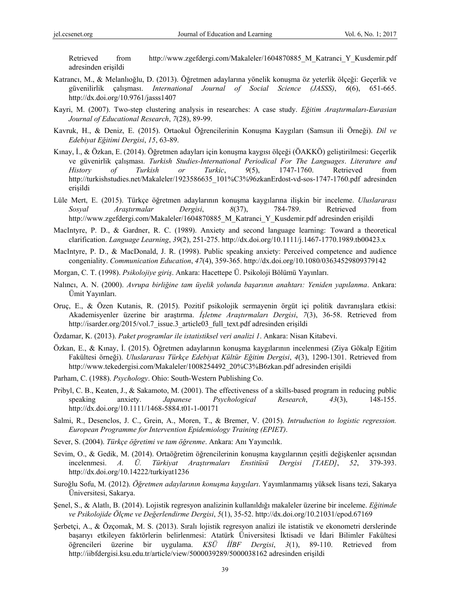Retrieved from http://www.zgefdergi.com/Makaleler/1604870885 M Katranci Y Kusdemir.pdf adresinden erişildi

- Katrancı, M., & Melanlıoğlu, D. (2013). Öğretmen adaylarına yönelik konuşma öz yeterlik ölçeği: Geçerlik ve güvenilirlik çalışması. *International Journal of Social Science (JASSS)*, *6*(6), 651-665. http://dx.doi.org/10.9761/jasss1407
- Kayri, M. (2007). Two-step clustering analysis in researches: A case study. *Eğitim Araştırmaları-Eurasian Journal of Educational Research*, *7*(28), 89-99.
- Kavruk, H., & Deniz, E. (2015). Ortaokul Öğrencilerinin Konuşma Kaygıları (Samsun ili Örneği). *Dil ve Edebiyat Eğitimi Dergisi*, *15*, 63-89.
- Kınay, İ., & Özkan, E. (2014). Öğretmen adayları için konuşma kaygısı ölçeği (ÖAKKÖ) geliştirilmesi: Geçerlik ve güvenirlik çalışması. *Turkish Studies-International Periodical For The Languages*. *Literature and History of Turkish or Turkic*, *9*(5), 1747-1760. Retrieved from http://turkishstudies.net/Makaleler/1923586635\_101%C3%96zkanErdost-vd-sos-1747-1760.pdf adresinden erişildi
- Lüle Mert, E. (2015). Türkçe öğretmen adaylarının konuşma kaygılarına ilişkin bir inceleme. *Uluslararası Sosyal Araştırmalar Dergisi*, *8*(37), 784-789. Retrieved from http://www.zgefdergi.com/Makaleler/1604870885\_M\_Katranci\_Y\_Kusdemir.pdf adresinden erişildi
- MacIntyre, P. D., & Gardner, R. C. (1989). Anxiety and second language learning: Toward a theoretical clarification. *Language Learning*, *39*(2), 251-275. http://dx.doi.org/10.1111/j.1467-1770.1989.tb00423.x
- MacIntyre, P. D., & MacDonald, J. R. (1998). Public speaking anxiety: Perceived competence and audience congeniality. *Communication Education*, *47*(4), 359-365. http://dx.doi.org/10.1080/03634529809379142
- Morgan, C. T. (1998). *Psikolojiye giriş*. Ankara: Hacettepe Ü. Psikoloji Bölümü Yayınları.
- Nalıncı, A. N. (2000). *Avrupa birliğine tam üyelik yolunda başarının anahtarı: Yeniden yapılanma*. Ankara: Ümit Yayınları.
- Oruç, E., & Özen Kutanis, R. (2015). Pozitif psikolojik sermayenin örgüt içi politik davranışlara etkisi: Akademisyenler üzerine bir araştırma. *İşletme Araştırmaları Dergisi*, *7*(3), 36-58. Retrieved from http://isarder.org/2015/vol.7\_issue.3\_article03\_full\_text.pdf adresinden erişildi
- Özdamar, K. (2013). *Paket programlar ile istatistiksel veri analizi 1*. Ankara: Nisan Kitabevi.
- Özkan, E., & Kınay, İ. (2015). Öğretmen adaylarının konuşma kaygılarının incelenmesi (Ziya Gökalp Eğitim Fakültesi örneği). *Uluslararası Türkçe Edebiyat Kültür Eğitim Dergisi*, *4*(3), 1290-1301. Retrieved from http://www.tekedergisi.com/Makaleler/1008254492\_20%C3%B6zkan.pdf adresinden erişildi
- Parham, C. (1988). *Psychology*. Ohio: South-Western Publishing Co.
- Pribyl, C. B., Keaten, J., & Sakamoto, M. (2001). The effectiveness of a skills-based program in reducing public speaking anxiety. *Japanese Psychological Research*, *43*(3), 148-155. http://dx.doi.org/10.1111/1468-5884.t01-1-00171
- Salmi, R., Desenclos, J. C., Grein, A., Moren, T., & Bremer, V. (2015). *Intruduction to logistic regression. European Programme for Intervention Epidemiology Training (EPIET)*.
- Sever, S. (2004). *Türkçe öğretimi ve tam öğrenme*. Ankara: Anı Yayıncılık.
- Sevim, O., & Gedik, M. (2014). Ortaöğretim öğrencilerinin konuşma kaygılarının çeşitli değişkenler açısından incelenmesi. *A. Ü. Türkiyat Araştırmaları Enstitüsü Dergisi [TAED]*, *52*, 379-393. http://dx.doi.org/10.14222/turkiyat1236
- Suroğlu Sofu, M. (2012). *Öğretmen adaylarının konuşma kaygıları*. Yayımlanmamış yüksek lisans tezi, Sakarya Üniversitesi, Sakarya.
- Şenel, S., & Alatlı, B. (2014). Lojistik regresyon analizinin kullanıldığı makaleler üzerine bir inceleme. *Eğitimde ve Psikolojide Ölçme ve Değerlendirme Dergisi*, *5*(1), 35-52. http://dx.doi.org/10.21031/epod.67169
- Şerbetçi, A., & Özçomak, M. S. (2013). Sıralı lojistik regresyon analizi ile istatistik ve ekonometri derslerinde başarıyı etkileyen faktörlerin belirlenmesi: Atatürk Üniversitesi İktisadi ve İdari Bilimler Fakültesi öğrencileri üzerine bir uygulama. *KSÜ İİBF Dergisi*, *3*(1), 89-110. Retrieved from http://iibfdergisi.ksu.edu.tr/article/view/5000039289/5000038162 adresinden erişildi